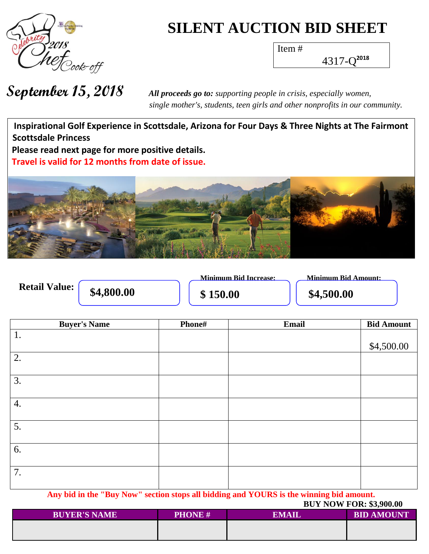

## **SILENT AUCTION BID SHEET**

Item #

4317-Q **2018**

 *single mother's, students, teen girls and other nonprofits in our community.*

**Wh a t h Inspirational Golf Experience in Scottsdale, Arizona for Four Days & Three Nights at The Fairmont P Scottsdale Princess Please read next page for more positive details.**  Travel is valid for 12 months from date of issue.



|                      |            | Minimum Bid Increase: |
|----------------------|------------|-----------------------|
| <b>Retail Value:</b> | \$4,800.00 | \$150.00              |

**Minimum Bid Amount:** 

**\$4,800.00 \$ 150.00 \$4,500.00**

| <b>Buyer's Name</b>                                                                    | Phone# | <b>Email</b> | <b>Bid Amount</b> |  |
|----------------------------------------------------------------------------------------|--------|--------------|-------------------|--|
| 1.                                                                                     |        |              |                   |  |
|                                                                                        |        |              | \$4,500.00        |  |
| 2.                                                                                     |        |              |                   |  |
|                                                                                        |        |              |                   |  |
| 3.                                                                                     |        |              |                   |  |
|                                                                                        |        |              |                   |  |
| 4.                                                                                     |        |              |                   |  |
|                                                                                        |        |              |                   |  |
| 5.                                                                                     |        |              |                   |  |
|                                                                                        |        |              |                   |  |
| 6.                                                                                     |        |              |                   |  |
|                                                                                        |        |              |                   |  |
| 7.                                                                                     |        |              |                   |  |
|                                                                                        |        |              |                   |  |
| Any hid in the "Ruy New" section stons all hidding and VOUDS is the winning hid amount |        |              |                   |  |

**Any bid in the "Buy Now" section stops all bidding and YOURS is the winning bid amount.**

|                     |               | <b>BUY NOW FOR: \$3,900.00</b> |                   |  |
|---------------------|---------------|--------------------------------|-------------------|--|
| <b>BUYER'S NAME</b> | <b>PHONE#</b> | EMAIL                          | <b>BID AMOUNT</b> |  |
|                     |               |                                |                   |  |
|                     |               |                                |                   |  |